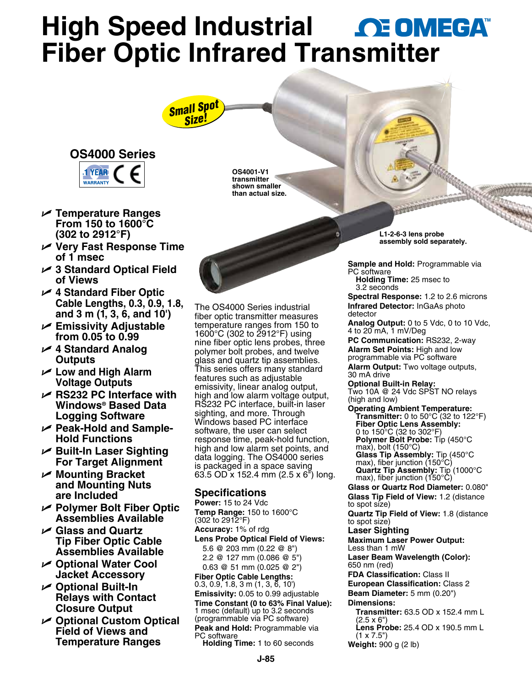# **High Speed Industrial AE OMEGAT Fiber Optic Infrared Tra[nsmitter](www.omega.com)**

# *Small Spot Size!*



- U **Temperature Ranges From 150 to 1600°C (302 to 2912°F)**
- U **Very Fast Response Time of 1 msec**
- $✓$  **3 Standard Optical Field of Views**
- U **4 Standard Fiber Optic Cable Lengths, 0.3, 0.9, 1.8, and 3 m (1, 3, 6, and 10')**
- U **Emissivity Adjustable from 0.05 to 0.99**
- U **4 Standard Analog Outputs**
- **∠** Low and High Alarm **Voltage Outputs**
- $⊬$  **RS232 PC Interface with Windows® Based Data Logging Software**
- Peak-Hold and Sample-**Hold Functions**
- **► Built-In Laser Sighting For Target Alignment**
- U **Mounting Bracket and Mounting Nuts are Included**
- U **Polymer Bolt Fiber Optic Assemblies Available**
- U **Glass and Quartz Tip Fiber Optic Cable Assemblies Available**
- **∠ Optional Water Cool Jacket Accessory**
- **∠ Optional Built-In Relays with Contact Closure Output**
- **∠ Optional Custom Optical Field of Views and Temperature Ranges**

**OS4001-V1 transmitter shown smaller than actual size.**

The OS4000 Series industrial fiber optic transmitter measures temperature ranges from 150 to 1600 $^{\circ}$ C (302 to 2912 $^{\circ}$ F) using nine fiber optic lens probes, three polymer bolt probes, and twelve glass and quartz tip assemblies. This series offers many standard features such as adjustable emissivity, linear analog output, high and low alarm voltage output, RS232 PC interface, built-in laser sighting, and more. Through Windows based PC interface software, the user can select response time, peak-hold function, high and low alarm set points, and data logging. The OS4000 series is packaged in a space saving 63.5 OD x 152.4 mm (2.5 x 6") long.

### **Specifications**

**Power:** 15 to 24 Vdc **Temp Range:** 150 to 1600°C (302 to 2912°F) **Accuracy:** 1% of rdg **Lens Probe Optical Field of Views:** 5.6 @ 203 mm (0.22 @ 8") 2.2 @ 127 mm (0.086 @ 5") 0.63 @ 51 mm (0.025 @ 2") **Fiber Optic Cable Lengths:**  $0.3, 0.9, 1.8, 3 \text{ m } (1, 3, 6, 10)$ **Emissivity:** 0.05 to 0.99 adjustable **Time Constant (0 to 63% Final Value):** 1 msec (default) up to 3.2 seconds (programmable via PC software) **Peak and Hold:** Programmable via PC software **Holding Time:** 1 to 60 seconds

**L1-2-6-3 lens probe assembly sold separately.**

**Sample and Hold:** Programmable via PC software

**Holding Time:** 25 msec to 3.2 seconds

**Spectral Response:** 1.2 to 2.6 microns **Infrared Detector:** InGaAs photo detector

**Analog Output:** 0 to 5 Vdc, 0 to 10 Vdc, 4 to 20 mA, 1 mV/Deg

**PC Communication:** RS232, 2-way **Alarm Set Points:** High and low programmable via PC software

**Alarm Output:** Two voltage outputs, 30 mA drive

**Optional Built-in Relay:**

Two 10A @ 24 Vdc SPST NO relays (high and low)

**Operating Ambient Temperature: Transmitter:** 0 to 50°C (32 to 122°F) **Fiber Optic Lens Assembly:** 0 to 150°C (32 to 302°F) **Polymer Bolt Probe:** Tip (450°C max), bolt (150°C) **Glass Tip Assembly:** Tip (450°C max), fiber junction (150°C) **Quartz Tip Assembly:** Tip (1000°C max), fiber junction (150°C)

**Glass or Quartz Rod Diameter:** 0.080" **Glass Tip Field of View:** 1.2 (distance to spot size)

**Quartz Tip Field of View:** 1.8 (distance to spot size)

### **Laser Sighting**

**Maximum Laser Power Output:** Less than 1 mW

**Laser Beam Wavelength (Color):** 650 nm (red)

**FDA Classification:** Class II **European Classification:** Class 2 **Beam Diameter:** 5 mm (0.20") **Dimensions:**

- **Transmitter:** 63.5 OD x 152.4 mm L  $(2.5 \times 6")$
- **Lens Probe:** 25.4 OD x 190.5 mm L  $(1 \times 7.5")$
- **Weight:** 900 g (2 lb)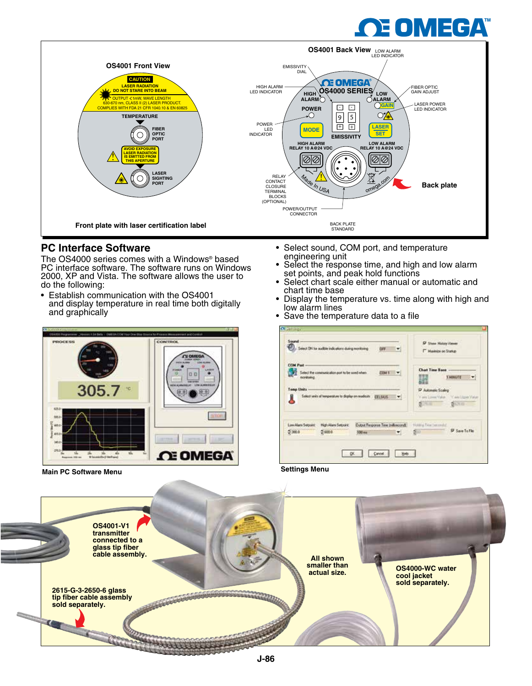# E OMEGA



## **PC Interface Software**

The OS4000 series comes with a Windows® based PC interface software. The software runs on Windows 2000, XP and Vista. The software allows the user to do the following:

- Establish communication with the OS4001 and display temperature in real time both digitally and graphically
- CONTROL n n 305.7 Ω OMEGA

**Main PC Software Menu**

- Select sound, COM port, and temperature engineering unit
- Select the response time, and high and low alarm set points, and peak hold functions
- Select chart scale either manual or automatic and chart time base
- Display the temperature vs. time along with high and low alarm lines
- Save the temperature data to a file



**Settings Menu**

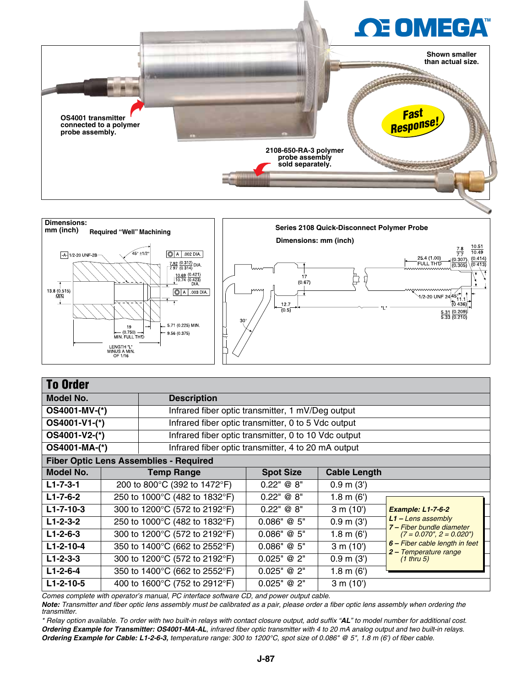



| <b>To Order</b>   |                                                                       |                                                     |                  |                       |                                                         |
|-------------------|-----------------------------------------------------------------------|-----------------------------------------------------|------------------|-----------------------|---------------------------------------------------------|
| <b>Model No.</b>  |                                                                       | <b>Description</b>                                  |                  |                       |                                                         |
| OS4001-MV-(*)     |                                                                       | Infrared fiber optic transmitter, 1 mV/Deg output   |                  |                       |                                                         |
| OS4001-V1-(*)     |                                                                       | Infrared fiber optic transmitter, 0 to 5 Vdc output |                  |                       |                                                         |
|                   | OS4001-V2-(*)<br>Infrared fiber optic transmitter, 0 to 10 Vdc output |                                                     |                  |                       |                                                         |
| OS4001-MA-(*)     | Infrared fiber optic transmitter, 4 to 20 mA output                   |                                                     |                  |                       |                                                         |
|                   |                                                                       | <b>Fiber Optic Lens Assemblies - Required</b>       |                  |                       |                                                         |
| Model No.         |                                                                       | <b>Temp Range</b>                                   | <b>Spot Size</b> | <b>Cable Length</b>   |                                                         |
| $L1 - 7 - 3 - 1$  |                                                                       | 200 to 800°C (392 to 1472°F)                        | 0.22" @ 8"       | 0.9 m (3')            |                                                         |
| $L1 - 7 - 6 - 2$  |                                                                       | 250 to 1000°C (482 to 1832°F)                       | 0.22" @ 8"       | 1.8 m (6')            |                                                         |
| $L1 - 7 - 10 - 3$ |                                                                       | 300 to 1200°C (572 to 2192°F)                       | 0.22" @ 8"       | 3 m (10')             | <b>Example: L1-7-6-2</b>                                |
| $L1-2-3-2$        |                                                                       | 250 to 1000°C (482 to 1832°F)                       | 0.086" @ 5"      | 0.9 m (3')            | $L1 -$ Lens assembly<br>7 – Fiber bundle diameter       |
| $L1 - 2 - 6 - 3$  |                                                                       | 300 to 1200°C (572 to 2192°F)                       | 0.086" @ 5"      | 1.8 m (6')            | $(7 = 0.070$ ", $2 = 0.020$ ")                          |
| $L1 - 2 - 10 - 4$ |                                                                       | 350 to 1400°C (662 to 2552°F)                       | 0.086" @ 5"      | 3 m (10')             | 6 - Fiber cable length in feet<br>2 – Temperature range |
| $L1 - 2 - 3 - 3$  |                                                                       | 300 to 1200°C (572 to 2192°F)                       | 0.025" @ 2"      | $0.9$ m $(3')$        | $(1$ thru 5)                                            |
| $L1 - 2 - 6 - 4$  |                                                                       | 350 to 1400°C (662 to 2552°F)                       | 0.025" @ 2"      | $1.8 \text{ m } (6')$ |                                                         |
| $L1-2-10-5$       |                                                                       | 400 to 1600°C (752 to 2912°F)                       | 0.025" @ 2"      | 3 m (10')             |                                                         |

*Comes complete with operator's manual, PC interface software CD, and power output cable.*

*Note: Transmitter and fiber optic lens assembly must be calibrated as a pair, please order a fiber optic lens assembly when ordering the transmitter.*

*\* Relay option available. To order with two built-in relays with contact closure output, add suffix "AL" to model number for additional cost. Ordering Example for Transmitter: OS4001-MA-AL, infrared fiber optic transmitter with 4 to 20 mA analog output and two built-in relays. Ordering Example for Cable: L1-2-6-3, temperature range: 300 to 1200°C, spot size of 0.086" @ 5", 1.8 m (6') of fiber cable.*